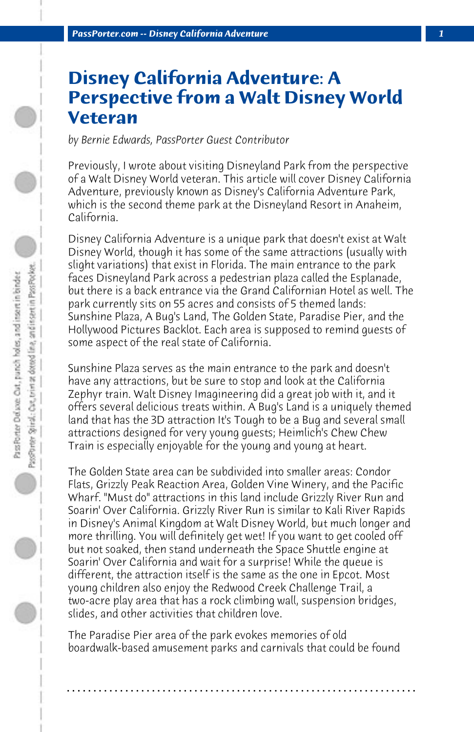## **Disney California Adventure: A Perspective from a Walt Disney World Veteran**

*by Bernie Edwards, PassPorter Guest Contributor*

Previously, I wrote about visiting Disneyland Park from the perspective of a Walt Disney World veteran. This article will cover Disney California Adventure, previously known as Disney's California Adventure Park, which is the second theme park at the Disneyland Resort in Anaheim, California.

Disney California Adventure is a unique park that doesn't exist at Walt Disney World, though it has some of the same attractions (usually with slight variations) that exist in Florida. The main entrance to the park faces Disneyland Park across a pedestrian plaza called the Esplanade, but there is a back entrance via the Grand Californian Hotel as well. The park currently sits on 55 acres and consists of 5 themed lands: Sunshine Plaza, A Bug's Land, The Golden State, Paradise Pier, and the Hollywood Pictures Backlot. Each area is supposed to remind guests of some aspect of the real state of California.

Sunshine Plaza serves as the main entrance to the park and doesn't have any attractions, but be sure to stop and look at the California Zephyr train. Walt Disney Imagineering did a great job with it, and it offers several delicious treats within. A Bug's Land is a uniquely themed land that has the 3D attraction It's Tough to be a Bug and several small attractions designed for very young guests; Heimlich's Chew Chew Train is especially enjoyable for the young and young at heart.

The Golden State area can be subdivided into smaller areas: Condor Flats, Grizzly Peak Reaction Area, Golden Vine Winery, and the Pacific Wharf. "Must do" attractions in this land include Grizzly River Run and Soarin' Over California. Grizzly River Run is similar to Kali River Rapids in Disney's Animal Kingdom at Walt Disney World, but much longer and more thrilling. You will definitely get wet! If you want to get cooled off but not soaked, then stand underneath the Space Shuttle engine at Soarin' Over California and wait for a surprise! While the queue is different, the attraction itself is the same as the one in Epcot. Most young children also enjoy the Redwood Creek Challenge Trail, a two-acre play area that has a rock climbing wall, suspension bridges, slides, and other activities that children love.

The Paradise Pier area of the park evokes memories of old boardwalk-based amusement parks and carnivals that could be found

**. . . . . . . . . . . . . . . . . . . . . . . . . . . . . . . . . . . . . . . . . . . . . . . . . . . . . . . . . . . . . . . . . .**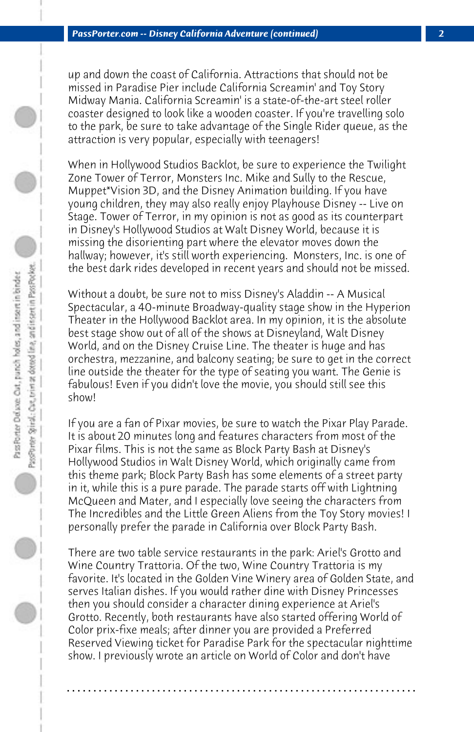up and down the coast of California. Attractions that should not be missed in Paradise Pier include California Screamin' and Toy Story Midway Mania. California Screamin' is a state-of-the-art steel roller coaster designed to look like a wooden coaster. If you're travelling solo to the park, be sure to take advantage of the Single Rider queue, as the attraction is very popular, especially with teenagers!

When in Hollywood Studios Backlot, be sure to experience the Twilight Zone Tower of Terror, Monsters Inc. Mike and Sully to the Rescue, Muppet\*Vision 3D, and the Disney Animation building. If you have young children, they may also really enjoy Playhouse Disney -- Live on Stage. Tower of Terror, in my opinion is not as good as its counterpart in Disney's Hollywood Studios at Walt Disney World, because it is missing the disorienting part where the elevator moves down the hallway; however, it's still worth experiencing. Monsters, Inc. is one of the best dark rides developed in recent years and should not be missed.

Without a doubt, be sure not to miss Disney's Aladdin -- A Musical Spectacular, a 40-minute Broadway-quality stage show in the Hyperion Theater in the Hollywood Backlot area. In my opinion, it is the absolute best stage show out of all of the shows at Disneyland, Walt Disney World, and on the Disney Cruise Line. The theater is huge and has orchestra, mezzanine, and balcony seating; be sure to get in the correct line outside the theater for the type of seating you want. The Genie is fabulous! Even if you didn't love the movie, you should still see this show!

If you are a fan of Pixar movies, be sure to watch the Pixar Play Parade. It is about 20 minutes long and features characters from most of the Pixar films. This is not the same as Block Party Bash at Disney's Hollywood Studios in Walt Disney World, which originally came from this theme park; Block Party Bash has some elements of a street party in it, while this is a pure parade. The parade starts off with Lightning McQueen and Mater, and I especially love seeing the characters from The Incredibles and the Little Green Aliens from the Toy Story movies! I personally prefer the parade in California over Block Party Bash.

There are two table service restaurants in the park: Ariel's Grotto and Wine Country Trattoria. Of the two, Wine Country Trattoria is my favorite. It's located in the Golden Vine Winery area of Golden State, and serves Italian dishes. If you would rather dine with Disney Princesses then you should consider a character dining experience at Ariel's Grotto. Recently, both restaurants have also started offering World of Color prix-fixe meals; after dinner you are provided a Preferred Reserved Viewing ticket for Paradise Park for the spectacular nighttime show. I previously wrote an article on World of Color and don't have

**. . . . . . . . . . . . . . . . . . . . . . . . . . . . . . . . . . . . . . . . . . . . . . . . . . . . . . . . . . . . . . . . . .**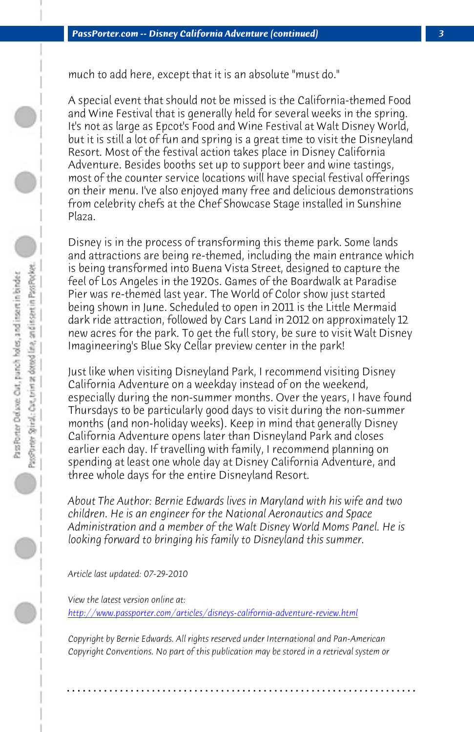much to add here, except that it is an absolute "must do."

A special event that should not be missed is the California-themed Food and Wine Festival that is generally held for several weeks in the spring. It's not as large as Epcot's Food and Wine Festival at Walt Disney World, but it is still a lot of fun and spring is a great time to visit the Disneyland Resort. Most of the festival action takes place in Disney California Adventure. Besides booths set up to support beer and wine tastings, most of the counter service locations will have special festival offerings on their menu. I've also enjoyed many free and delicious demonstrations from celebrity chefs at the Chef Showcase Stage installed in Sunshine Plaza.

Disney is in the process of transforming this theme park. Some lands and attractions are being re-themed, including the main entrance which is being transformed into Buena Vista Street, designed to capture the feel of Los Angeles in the 1920s. Games of the Boardwalk at Paradise Pier was re-themed last year. The World of Color show just started being shown in June. Scheduled to open in 2011 is the Little Mermaid dark ride attraction, followed by Cars Land in 2012 on approximately 12 new acres for the park. To get the full story, be sure to visit Walt Disney Imagineering's Blue Sky Cellar preview center in the park!

Just like when visiting Disneyland Park, I recommend visiting Disney California Adventure on a weekday instead of on the weekend, [especially during the non-summer months. Over the years, I](http://www.passporter.com/articles/disneys-california-adventure-review.php) have found Thursdays to be particularly good days to visit during the non-summer months (and non-holiday weeks). Keep in mind that generally Disney California Adventure opens later than Disneyland Park and closes earlier each day. If travelling with family, I recommend planning on spending at least one whole day at Disney California Adventure, and three whole days for the entire Disneyland Resort.

*About The Author: Bernie Edwards lives in Maryland with his wife and two children. He is an engineer for the National Aeronautics and Space Administration and a member of the Walt Disney World Moms Panel. He is looking forward to bringing his family to Disneyland this summer.*

*Article last updated: 07-29-2010*

*View the latest version online at: http://www.passporter.com/articles/disneys-california-adventure-review.html*

*Copyright by Bernie Edwards. All rights reserved under International and Pan-American Copyright Conventions. No part of this publication may be stored in a retrieval system or*

**. . . . . . . . . . . . . . . . . . . . . . . . . . . . . . . . . . . . . . . . . . . . . . . . . . . . . . . . . . . . . . . . . .**